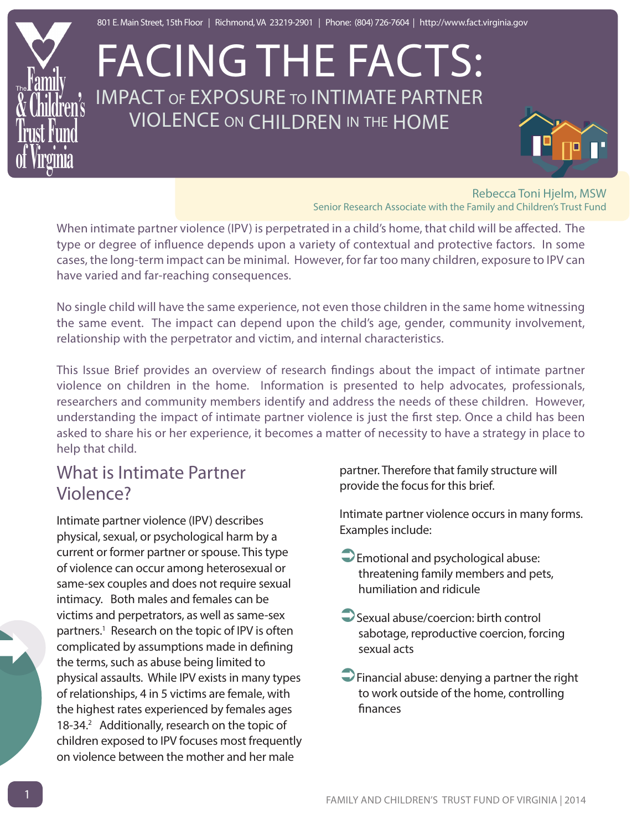

# FACING THE FACTS: IMPACT of EXPOSURE to INTIMATE PARTNER VIOLENCE on CHILDREN in the HOME

Rebecca Toni Hjelm, MSW Senior Research Associate with the Family and Children's Trust Fund

When intimate partner violence (IPV) is perpetrated in a child's home, that child will be affected. The type or degree of influence depends upon a variety of contextual and protective factors. In some cases, the long-term impact can be minimal. However, for far too many children, exposure to IPV can have varied and far-reaching consequences.

No single child will have the same experience, not even those children in the same home witnessing the same event. The impact can depend upon the child's age, gender, community involvement, relationship with the perpetrator and victim, and internal characteristics.

This Issue Brief provides an overview of research findings about the impact of intimate partner violence on children in the home. Information is presented to help advocates, professionals, researchers and community members identify and address the needs of these children. However, understanding the impact of intimate partner violence is just the first step. Once a child has been asked to share his or her experience, it becomes a matter of necessity to have a strategy in place to help that child.

### What is Intimate Partner Violence?

Intimate partner violence (IPV) describes physical, sexual, or psychological harm by a current or former partner or spouse. This type of violence can occur among heterosexual or same-sex couples and does not require sexual intimacy. Both males and females can be victims and perpetrators, as well as same-sex partners.<sup>1</sup> Research on the topic of IPV is often complicated by assumptions made in defining the terms, such as abuse being limited to physical assaults. While IPV exists in many types of relationships, 4 in 5 victims are female, with the highest rates experienced by females ages 18-34.<sup>2</sup> Additionally, research on the topic of children exposed to IPV focuses most frequently on violence between the mother and her male

partner. Therefore that family structure will provide the focus for this brief.

Intimate partner violence occurs in many forms. Examples include:

- $\bigcirc$  Emotional and psychological abuse: threatening family members and pets, humiliation and ridicule
- $\Box$  Sexual abuse/coercion: birth control sabotage, reproductive coercion, forcing sexual acts
- $\Box$  Financial abuse: denying a partner the right to work outside of the home, controlling finances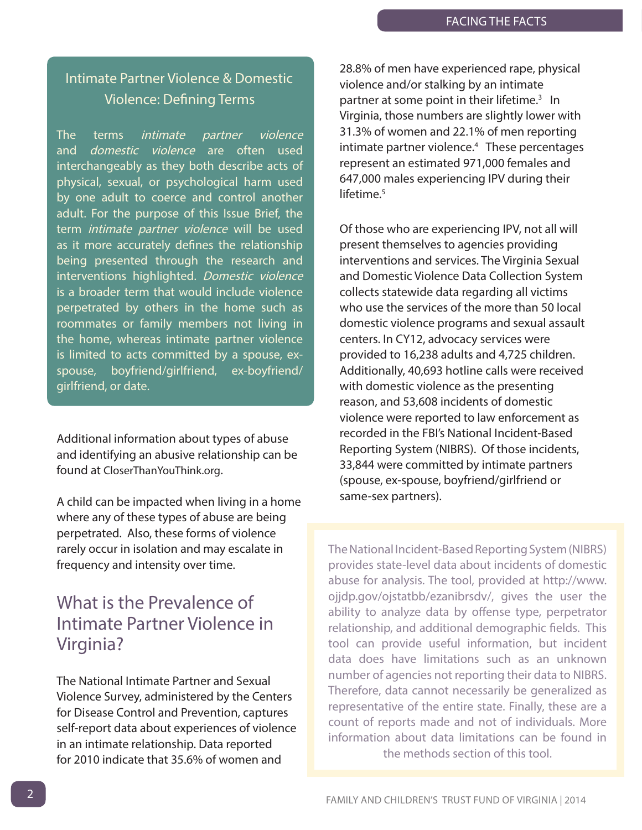#### Intimate Partner Violence & Domestic Violence: Defining Terms

The terms *intimate partner violence* and *domestic violence* are often used interchangeably as they both describe acts of physical, sexual, or psychological harm used by one adult to coerce and control another adult. For the purpose of this Issue Brief, the term *intimate partner violence* will be used as it more accurately defines the relationship being presented through the research and interventions highlighted. Domestic violence is a broader term that would include violence perpetrated by others in the home such as roommates or family members not living in the home, whereas intimate partner violence is limited to acts committed by a spouse, exspouse, boyfriend/girlfriend, ex-boyfriend/ girlfriend, or date.

Additional information about types of abuse and identifying an abusive relationship can be found at [CloserThanYouThink.org.](www.closerthanyouthink.org)

A child can be impacted when living in a home where any of these types of abuse are being perpetrated. Also, these forms of violence rarely occur in isolation and may escalate in frequency and intensity over time.

#### What is the Prevalence of Intimate Partner Violence in Virginia?

The National Intimate Partner and Sexual Violence Survey, administered by the Centers for Disease Control and Prevention, captures self-report data about experiences of violence in an intimate relationship. Data reported for 2010 indicate that 35.6% of women and

28.8% of men have experienced rape, physical violence and/or stalking by an intimate partner at some point in their lifetime.<sup>3</sup> In Virginia, those numbers are slightly lower with 31.3% of women and 22.1% of men reporting intimate partner violence[.4](#page-12-0) These percentages represent an estimated 971,000 females and 647,000 males experiencing IPV during their lifetime.<sup>5</sup>

Of those who are experiencing IPV, not all will present themselves to agencies providing interventions and services. The Virginia Sexual and Domestic Violence Data Collection System collects statewide data regarding all victims who use the services of the more than 50 local domestic violence programs and sexual assault centers. In CY12, advocacy services were provided to 16,238 adults and 4,725 children. Additionally, 40,693 hotline calls were received with domestic violence as the presenting reason, and 53,608 incidents of domestic violence were reported to law enforcement as recorded in the FBI's National Incident-Based Reporting System (NIBRS). Of those incidents, 33,844 were committed by intimate partners (spouse, ex-spouse, boyfriend/girlfriend or same-sex partners).

The National Incident-Based Reporting System (NIBRS) provides state-level data about incidents of domestic abuse for analysis. The tool, provided at [http://www.](www.ojjdp.gov/ojstatbb/ezanibrsdv/) [ojjdp.gov/ojstatbb/ezanibrsdv/,](www.ojjdp.gov/ojstatbb/ezanibrsdv/) gives the user the ability to analyze data by offense type, perpetrator relationship, and additional demographic fields. This tool can provide useful information, but incident data does have limitations such as an unknown number of agencies not reporting their data to NIBRS. Therefore, data cannot necessarily be generalized as representative of the entire state. Finally, these are a count of reports made and not of individuals. More information about data limitations can be found in the methods section of this tool.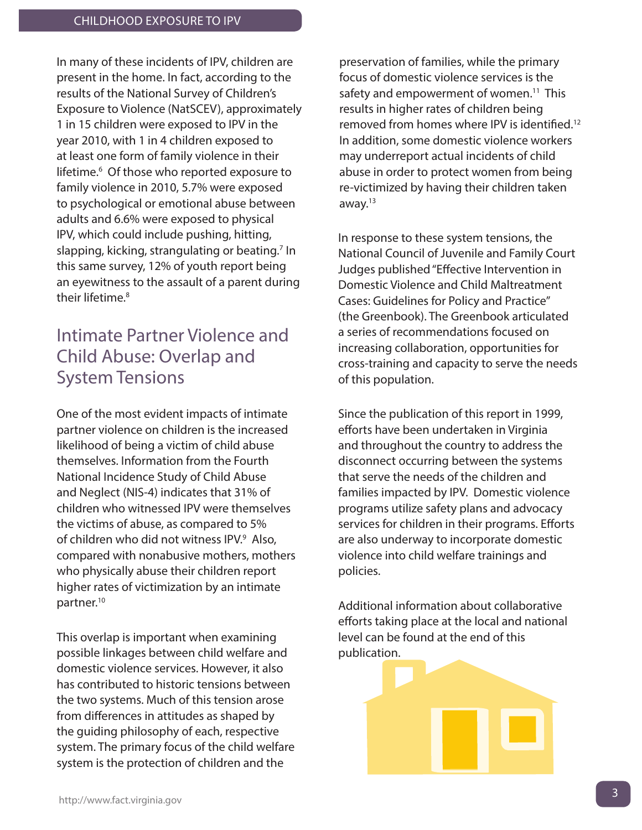In many of these incidents of IPV, children are present in the home. In fact, according to the results of the National Survey of Children's Exposure to Violence (NatSCEV), approximately 1 in 15 children were exposed to IPV in the year 2010, with 1 in 4 children exposed to at least one form of family violence in their lifetime.<sup>6</sup> Of those who reported exposure to family violence in 2010, 5.7% were exposed to psychological or emotional abuse between adults and 6.6% were exposed to physical IPV, which could include pushing, hitting, slapping, kicking, strangulating or beating.<sup>7</sup> In this same survey, 12% of youth report being an eyewitness to the assault of a parent during their lifetime.<sup>8</sup>

#### Intimate Partner Violence and Child Abuse: Overlap and System Tensions

One of the most evident impacts of intimate partner violence on children is the increased likelihood of being a victim of child abuse themselves. Information from the Fourth National Incidence Study of Child Abuse and Neglect (NIS-4) indicates that 31% of children who witnessed IPV were themselves the victims of abuse, as compared to 5% of children who did not witness IPV.<sup>9</sup> Also, compared with nonabusive mothers, mothers who physically abuse their children report higher rates of victimization by an intimate partner[.10](#page-12-0)

This overlap is important when examining possible linkages between child welfare and domestic violence services. However, it also has contributed to historic tensions between the two systems. Much of this tension arose from differences in attitudes as shaped by the guiding philosophy of each, respective system. The primary focus of the child welfare system is the protection of children and the

preservation of families, while the primary focus of domestic violence services is the safety and empowerment of women.<sup>11</sup> This results in higher rates of children being removed from homes where IPV is identified[.12](#page-12-0) In addition, some domestic violence workers may underreport actual incidents of child abuse in order to protect women from being re-victimized by having their children taken away[.13](#page-12-0) 

In response to these system tensions, the National Council of Juvenile and Family Court Judges published "Effective Intervention in Domestic Violence and Child Maltreatment Cases: Guidelines for Policy and Practice" (the Greenbook). The Greenbook articulated a series of recommendations focused on increasing collaboration, opportunities for cross-training and capacity to serve the needs of this population.

Since the publication of this report in 1999, efforts have been undertaken in Virginia and throughout the country to address the disconnect occurring between the systems that serve the needs of the children and families impacted by IPV. Domestic violence programs utilize safety plans and advocacy services for children in their programs. Efforts are also underway to incorporate domestic violence into child welfare trainings and policies.

Additional information about collaborative efforts taking place at the local and national level can be found at the end of this publication.

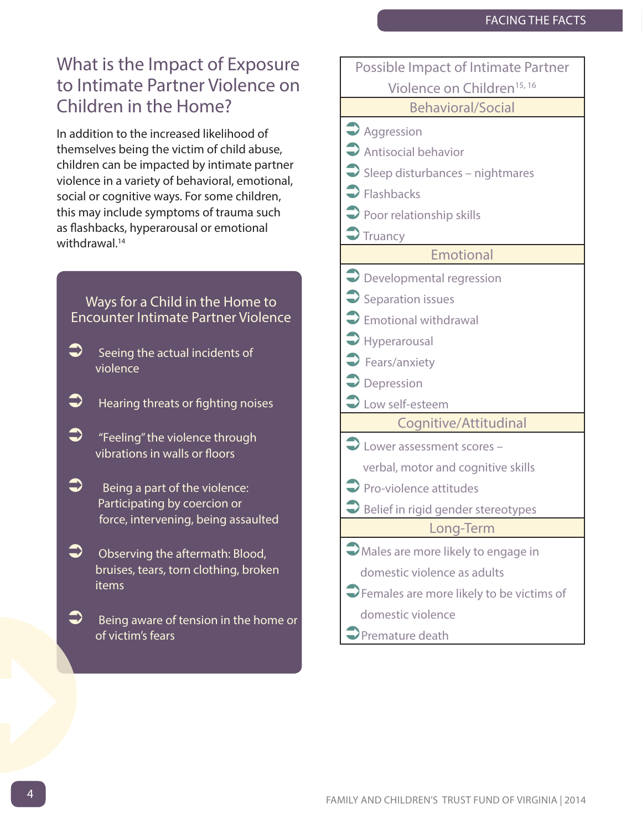### What is the Impact of Exposure to Intimate Partner Violence on Children in the Home?

In addition to the increased likelihood of themselves being the victim of child abuse, children can be impacted by intimate partner violence in a variety of behavioral, emotional, social or cognitive ways. For some children, this may include symptoms of trauma such as flashbacks, hyperarousal or emotional withdrawal.<sup>14</sup>

Ways for a Child in the Home to Encounter Intimate Partner Violence

- $\supset$  Seeing the actual incidents of violence
- $\blacktriangleright$  Hearing threats or fighting noises
- $\bullet$  "Feeling" the violence through vibrations in walls or floors
- $\bullet$  Being a part of the violence: Participating by coercion or force, intervening, being assaulted
- $\bullet$  Observing the aftermath: Blood, bruises, tears, torn clothing, broken items
- $\supset$  Being aware of tension in the home or of victim's fears

| Possible Impact of Intimate Partner                            |
|----------------------------------------------------------------|
| Violence on Children <sup>15, 16</sup>                         |
| <b>Behavioral/Social</b>                                       |
| $\rightarrow$ Aggression                                       |
| Antisocial behavior                                            |
| $\bigcirc$ Sleep disturbances - nightmares                     |
| $\blacktriangleright$ Flashbacks                               |
| $\bigcirc$ Poor relationship skills                            |
| $\bigtriangledown$ Truancy                                     |
| <b>Emotional</b>                                               |
| $\supseteq$ Developmental regression                           |
| $\supset$ Separation issues                                    |
| $\supset$ Emotional withdrawal                                 |
| $\blacktriangleright$ Hyperarousal                             |
| $\blacktriangleright$ Fears/anxiety                            |
| $\supset$ Depression                                           |
| Low self-esteem                                                |
| Cognitive/Attitudinal                                          |
| $\bigcirc$ Lower assessment scores -                           |
| verbal, motor and cognitive skills                             |
| $\supset$ Pro-violence attitudes                               |
| $\supset$ Belief in rigid gender stereotypes                   |
| Long-Term                                                      |
| Males are more likely to engage in                             |
| domestic violence as adults                                    |
| $\blacktriangleright$ Females are more likely to be victims of |
| domestic violence                                              |
| Premature death                                                |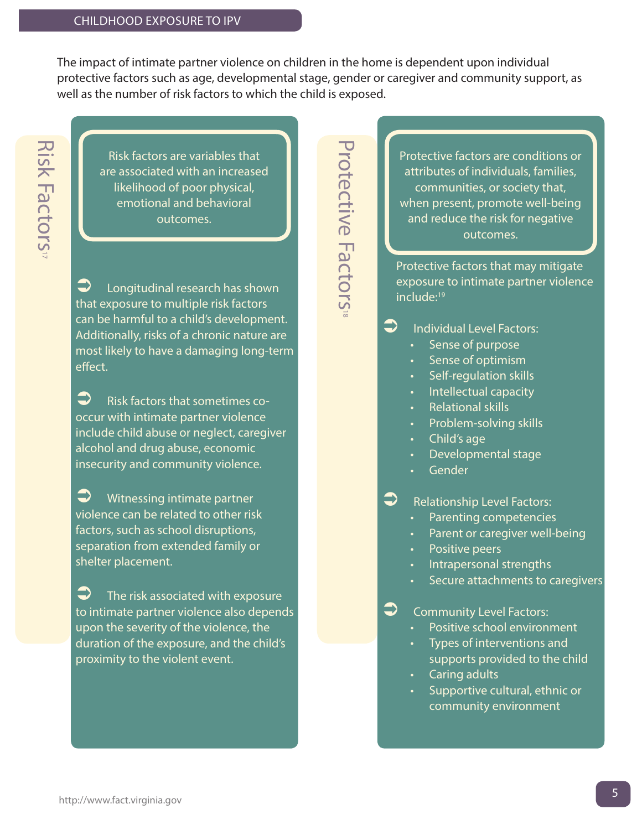The impact of intimate partner violence on children in the home is dependent upon individual protective factors such as age, developmental stage, gender or caregiver and community support, as well as the number of risk factors to which the child is exposed.

Risk factors are variables that are associated with an increased likelihood of poor physical, emotional and behavioral outcomes.

 $\Box$  Longitudinal research has shown that exposure to multiple risk factors can be harmful to a child's development. Additionally, risks of a chronic nature are most likely to have a damaging long-term effect.

 $\bullet$  Risk factors that sometimes cooccur with intimate partner violence include child abuse or neglect, caregiver alcohol and drug abuse, economic insecurity and community violence.

 $\bullet$  Witnessing intimate partner violence can be related to other risk factors, such as school disruptions, separation from extended family or shelter placement.

 $\sum$  The risk associated with exposure to intimate partner violence also depends upon the severity of the violence, the duration of the exposure, and the child's proximity to the violent event.

Protective Factors<sup>®</sup> Protective Factors

Protective factors are conditions or attributes of individuals, families, communities, or society that, when present, promote well-being and reduce the risk for negative outcomes.

Protective factors that may mitigate exposure to intimate partner violence include:<sup>19</sup>

 $\Box$  Individual Level Factors:

- Sense of purpose
- Sense of optimism
- Self-regulation skills
- **Intellectual capacity**
- Relational skills
- Problem-solving skills
- Child's age
- Developmental stage
- Gender

 $\supset$  Relationship Level Factors:

- Parenting competencies
- Parent or caregiver well-being
- Positive peers
- Intrapersonal strengths
- Secure attachments to caregivers
- $\Box$  Community Level Factors:
	- Positive school environment
	- Types of interventions and supports provided to the child
	- Caring adults
	- Supportive cultural, ethnic or community environment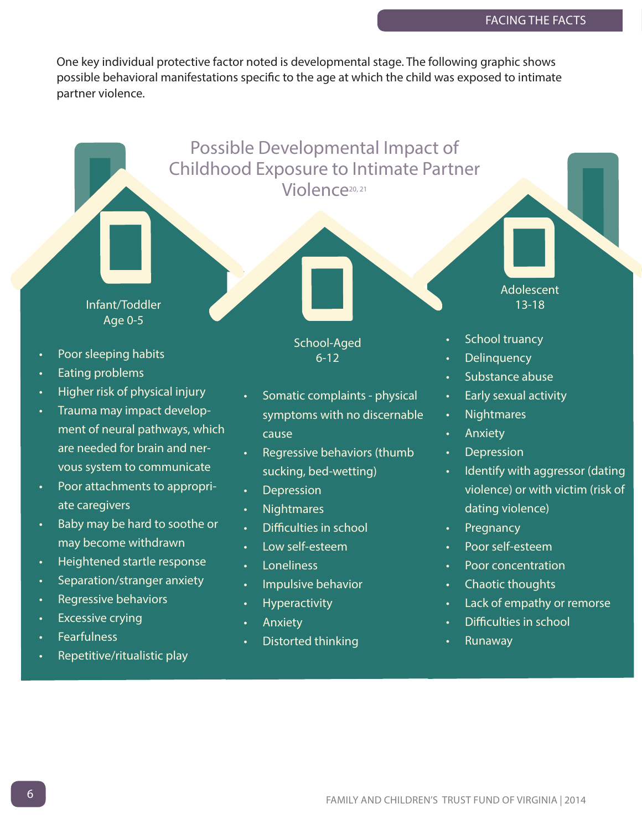One key individual protective factor noted is developmental stage. The following graphic shows possible behavioral manifestations specific to the age at which the child was exposed to intimate partner violence.

Possible Developmental Impact of

Childhood Exposure to Intimate Partner Violence<sup>20, 21</sup>

Infant/Toddler Age 0-5 Poor sleeping habits • Eating problems 6-12

- Higher risk of physical injury
- Trauma may impact development of neural pathways, which are needed for brain and nervous system to communicate
- Poor attachments to appropriate caregivers
- Baby may be hard to soothe or may become withdrawn
- Heightened startle response
- Separation/stranger anxiety
- Regressive behaviors
- **Excessive crying**
- **Fearfulness**
- Repetitive/ritualistic play

School-Aged

- Somatic complaints physical symptoms with no discernable cause
- Regressive behaviors (thumb sucking, bed-wetting)
- **Depression**
- Nightmares
- Difficulties in school
- Low self-esteem
- **Loneliness**
- Impulsive behavior
- Hyperactivity
- **Anxiety**
- Distorted thinking

School truancy

Adolescent 13-18

- **Delinquency**
- Substance abuse
- Early sexual activity
- **Nightmares**
- **Anxiety**
- **Depression**
- Identify with aggressor (dating violence) or with victim (risk of dating violence)
- **Pregnancy**
- Poor self-esteem
- Poor concentration
- Chaotic thoughts
- Lack of empathy or remorse
- Difficulties in school
- Runaway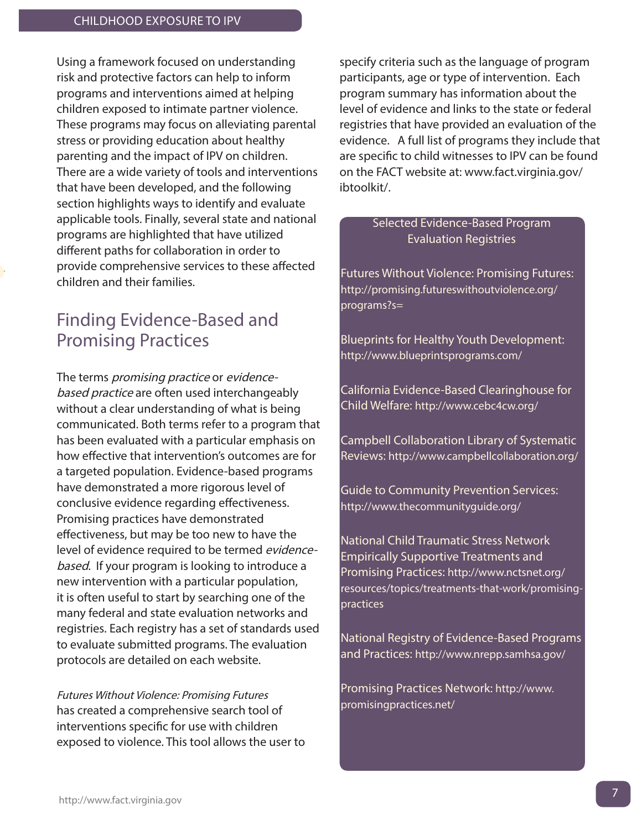Using a framework focused on understanding risk and protective factors can help to inform programs and interventions aimed at helping children exposed to intimate partner violence. These programs may focus on alleviating parental stress or providing education about healthy parenting and the impact of IPV on children. There are a wide variety of tools and interventions that have been developed, and the following section highlights ways to identify and evaluate applicable tools. Finally, several state and national programs are highlighted that have utilized different paths for collaboration in order to provide comprehensive services to these affected children and their families.

#### Finding Evidence-Based and Promising Practices

The terms *promising practice* or *evidence*based practice are often used interchangeably without a clear understanding of what is being communicated. Both terms refer to a program that has been evaluated with a particular emphasis on how effective that intervention's outcomes are for a targeted population. Evidence-based programs have demonstrated a more rigorous level of conclusive evidence regarding effectiveness. Promising practices have demonstrated effectiveness, but may be too new to have the level of evidence required to be termed evidencebased. If your program is looking to introduce a new intervention with a particular population, it is often useful to start by searching one of the many federal and state evaluation networks and registries. Each registry has a set of standards used to evaluate submitted programs. The evaluation protocols are detailed on each website.

[Futures Without Violence: Promising Futures](promising.futureswithoutviolence.org/programs?s=) has created a comprehensive search tool of interventions specific for use with children exposed to violence. This tool allows the user to specify criteria such as the language of program participants, age or type of intervention. Each program summary has information about the level of evidence and links to the state or federal registries that have provided an evaluation of the evidence. A full list of programs they include that are specific to child witnesses to IPV can be found on the FACT website at: [www.fact.virginia.gov/](www.fact.virginia.gov/ibtoolkit/)  [ibtoolkit/.](www.fact.virginia.gov/ibtoolkit/) 

#### Selected Evidence-Based Program Evaluation Registries

Futures Without Violence: Promising Futures: [http://promising.futureswithoutviolence.org/](promising.futureswithoutviolence.org/programs?s=) programs?s=

Blueprints for Healthy Youth Development: [http://www.blueprintsprograms.com/](www.blueprintsprograms.com)

California Evidence-Based Clearinghouse for Child Welfare: [http://www.cebc4cw.org/](www.cebc4cw.org) 

Campbell Collaboration Library of Systematic Reviews: [http://www.campbellcollaboration.org/](www.campbellcollaboration.org)

Guide to Community Prevention Services: [http://www.thecommunityguide.org/](www.thecommunityguide.org)

National Child Traumatic Stress Network Empirically Supportive Treatments and Promising Practices: [http://www.nctsnet.org/](www.nctsnet.org/resources/topics/treatments-that-work/promising-practices) [resources/topics/treatments-that-work/promising](www.nctsnet.org/resources/topics/treatments-that-work/promising-practices)practices

National Registry of Evidence-Based Programs and Practices:<http://www.nrepp.samhsa.gov/>

Promising Practices Network: [http://www.](www.promisingpractices.net) [promisingpractices.net/](www.promisingpractices.net)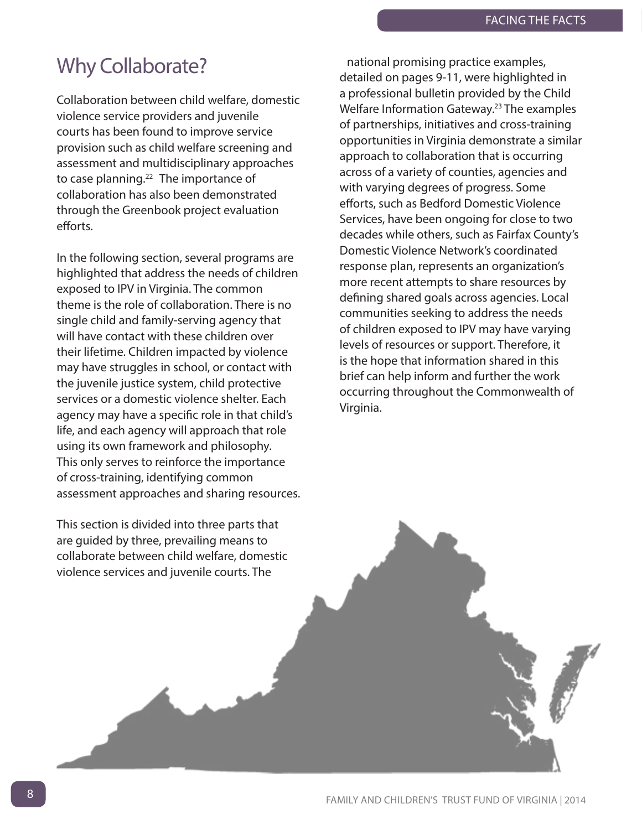## Why Collaborate?

Collaboration between child welfare, domestic violence service providers and juvenile courts has been found to improve service provision such as child welfare screening and assessment and multidisciplinary approaches to case planning.<sup>22</sup> The importance of collaboration has also been demonstrated through the Greenbook project evaluation efforts.

In the following section, several programs are highlighted that address the needs of children exposed to IPV in Virginia. The common theme is the role of collaboration. There is no single child and family-serving agency that will have contact with these children over their lifetime. Children impacted by violence may have struggles in school, or contact with the juvenile justice system, child protective services or a domestic violence shelter. Each agency may have a specific role in that child's life, and each agency will approach that role using its own framework and philosophy. This only serves to reinforce the importance of cross-training, identifying common assessment approaches and sharing resources.

This section is divided into three parts that are guided by three, prevailing means to collaborate between child welfare, domestic violence services and juvenile courts. The

national promising practice examples, detailed on pages 9-11, were highlighted in a professional bulletin provided by the Child Welfare Information Gateway.<sup>23</sup> The examples of partnerships, initiatives and cross-training opportunities in Virginia demonstrate a similar approach to collaboration that is occurring across of a variety of counties, agencies and with varying degrees of progress. Some efforts, such as Bedford Domestic Violence Services, have been ongoing for close to two decades while others, such as Fairfax County's Domestic Violence Network's coordinated response plan, represents an organization's more recent attempts to share resources by defining shared goals across agencies. Local communities seeking to address the needs of children exposed to IPV may have varying levels of resources or support. Therefore, it is the hope that information shared in this brief can help inform and further the work occurring throughout the Commonwealth of Virginia.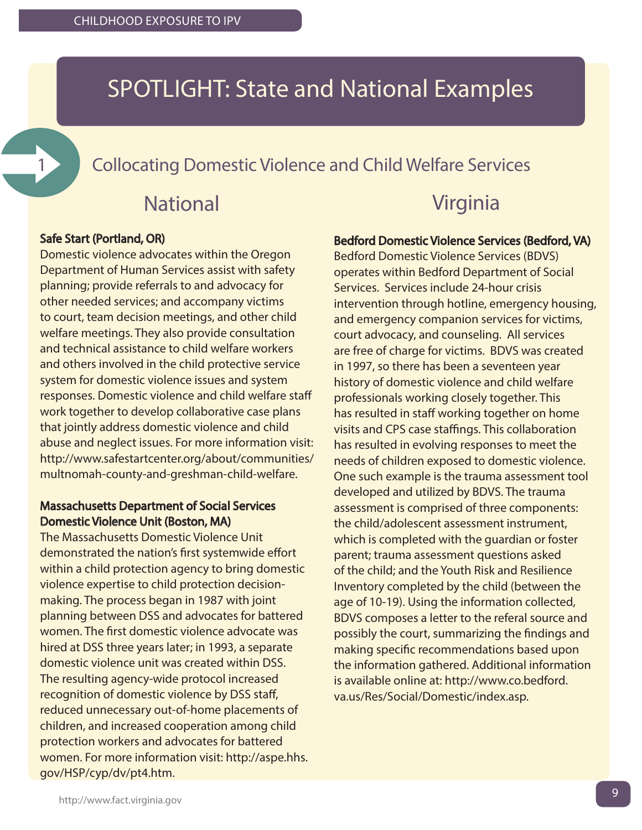## SPOTLIGHT: State and National Examples

1 **Collocating Domestic Violence and Child Welfare Services** 

## National

#### Safe Start (Portland, OR)

Domestic violence advocates within the Oregon Department of Human Services assist with safety planning; provide referrals to and advocacy for other needed services; and accompany victims to court, team decision meetings, and other child welfare meetings. They also provide consultation and technical assistance to child welfare workers and others involved in the child protective service system for domestic violence issues and system responses. Domestic violence and child welfare staff work together to develop collaborative case plans that jointly address domestic violence and child abuse and neglect issues. For more information visit: [http://www.safestartcenter.org/about/communities/](http://www.ojjdp.gov/programs/ProgSummary.asp?pi=15) multnomah-county-and-greshman-child-welfare.

#### Massachusetts Department of Social Services Domestic Violence Unit (Boston, MA)

The Massachusetts Domestic Violence Unit demonstrated the nation's first systemwide effort within a child protection agency to bring domestic violence expertise to child protection decisionmaking. The process began in 1987 with joint planning between DSS and advocates for battered women. The first domestic violence advocate was hired at DSS three years later; in 1993, a separate domestic violence unit was created within DSS. The resulting agency-wide protocol increased recognition of domestic violence by DSS staff, reduced unnecessary out-of-home placements of children, and increased cooperation among child protection workers and advocates for battered women. For more information visit: [http://aspe.hhs.](aspe.hhs.gov/hsp/cyp/dv/pt4.htm) [gov/HSP/cyp/dv/pt4.htm.](aspe.hhs.gov/hsp/cyp/dv/pt4.htm)

### Virginia

#### Bedford Domestic Violence Services (Bedford, VA)

Bedford Domestic Violence Services (BDVS) operates within Bedford Department of Social Services. Services include 24-hour crisis intervention through hotline, emergency housing, and emergency companion services for victims, court advocacy, and counseling. All services are free of charge for victims. BDVS was created in 1997, so there has been a seventeen year history of domestic violence and child welfare professionals working closely together. This has resulted in staff working together on home visits and CPS case staffings. This collaboration has resulted in evolving responses to meet the needs of children exposed to domestic violence. One such example is the trauma assessment tool developed and utilized by BDVS. The trauma assessment is comprised of three components: the child/adolescent assessment instrument, which is completed with the quardian or foster parent; trauma assessment questions asked of the child; and the Youth Risk and Resilience Inventory completed by the child (between the age of 10-19). Using the information collected, BDVS composes a letter to the referal source and possibly the court, summarizing the findings and making specific recommendations based upon the information gathered. Additional information is available online at: [http://www.co.bedford.](www.co.bedford.va.us/res/social/domestic/index.asp) [va.us/Res/Social/Domestic/index.asp.](www.co.bedford.va.us/res/social/domestic/index.asp)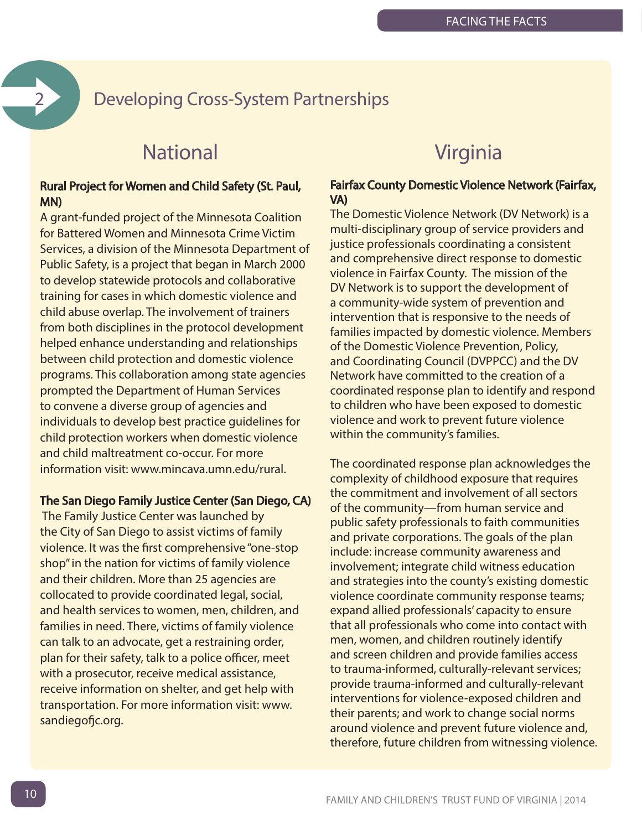### 2 Developing Cross-System Partnerships

### **National**

#### Rural Project for Women and Child Safety (St. Paul, MN)

A grant-funded project of the Minnesota Coalition for Battered Women and Minnesota Crime Victim Services, a division of the Minnesota Department of Public Safety, is a project that began in March 2000 to develop statewide protocols and collaborative training for cases in which domestic violence and child abuse overlap. The involvement of trainers from both disciplines in the protocol development helped enhance understanding and relationships between child protection and domestic violence programs. This collaboration among state agencies prompted the Department of Human Services to convene a diverse group of agencies and individuals to develop best practice guidelines for child protection workers when domestic violence and child maltreatment co-occur. For more information visit: [www.mincava.umn.edu/rural.](www.mincava.umn.edu/rural) 

#### The San Diego Family Justice Center (San Diego, CA)

 The Family Justice Center was launched by the City of San Diego to assist victims of family violence. It was the first comprehensive "one-stop shop" in the nation for victims of family violence and their children. More than 25 agencies are collocated to provide coordinated legal, social, and health services to women, men, children, and families in need. There, victims of family violence can talk to an advocate, get a restraining order, plan for their safety, talk to a police officer, meet with a prosecutor, receive medical assistance, receive information on shelter, and get help with transportation. For more information visit: www. sandiegofjc.org.

### Virginia

#### Fairfax County Domestic Violence Network (Fairfax, VA)

The Domestic Violence Network (DV Network) is a multi-disciplinary group of service providers and justice professionals coordinating a consistent and comprehensive direct response to domestic violence in Fairfax County. The mission of the DV Network is to support the development of a community-wide system of prevention and intervention that is responsive to the needs of families impacted by domestic violence. Members of the Domestic Violence Prevention, Policy, and Coordinating Council (DVPPCC) and the DV Network have committed to the creation of a coordinated response plan to identify and respond to children who have been exposed to domestic violence and work to prevent future violence within the community's families.

The coordinated response plan acknowledges the complexity of childhood exposure that requires the commitment and involvement of all sectors of the community—from human service and public safety professionals to faith communities and private corporations. The goals of the plan include: increase community awareness and involvement; integrate child witness education and strategies into the county's existing domestic violence coordinate community response teams; expand allied professionals' capacity to ensure that all professionals who come into contact with men, women, and children routinely identify and screen children and provide families access to trauma-informed, culturally-relevant services; provide trauma-informed and culturally-relevant interventions for violence-exposed children and their parents; and work to change social norms around violence and prevent future violence and, therefore, future children from witnessing violence.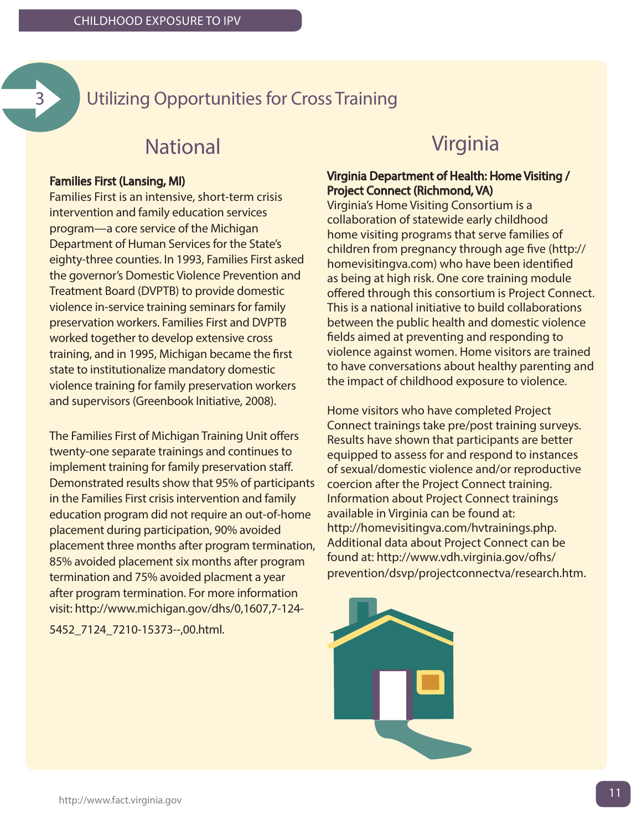

### 3 Utilizing Opportunities for Cross Training

### National

#### Families First (Lansing, MI)

Families First is an intensive, short-term crisis intervention and family education services program—a core service of the Michigan Department of Human Services for the State's eighty-three counties. In 1993, Families First asked the governor's Domestic Violence Prevention and Treatment Board (DVPTB) to provide domestic violence in-service training seminars for family preservation workers. Families First and DVPTB worked together to develop extensive cross training, and in 1995, Michigan became the first state to institutionalize mandatory domestic violence training for family preservation workers and supervisors (Greenbook Initiative, 2008).

The Families First of Michigan Training Unit offers twenty-one separate trainings and continues to implement training for family preservation staff. Demonstrated results show that 95% of participants in the Families First crisis intervention and family education program did not require an out-of-home placement during participation, 90% avoided placement three months after program termination, 85% avoided placement six months after program termination and 75% avoided placment a year after program termination. For more information visit: [http://www.michigan.gov/dhs/0,1607,7-124-](http://www.michigan.gov/dhs/0,4562,7-124-7119_50648_7210-15373--,00.html) [5452\\_7124\\_7210-15373--,00.html.](http://www.michigan.gov/dhs/0,4562,7-124-7119_50648_7210-15373--,00.html)

#### Virginia

#### Virginia Department of Health: Home Visiting / Project Connect (Richmond, VA)

Virginia's Home Visiting Consortium is a collaboration of statewide early childhood home visiting programs that serve families of children from pregnancy through age five (http:// homevisitingva.com) who have been identified as being at high risk. One core training module offered through this consortium is Project Connect. This is a national initiative to build collaborations between the public health and domestic violence fields aimed at preventing and responding to violence against women. Home visitors are trained to have conversations about healthy parenting and the impact of childhood exposure to violence.

Home visitors who have completed Project Connect trainings take pre/post training surveys. Results have shown that participants are better equipped to assess for and respond to instances of sexual/domestic violence and/or reproductive coercion after the Project Connect training. Information about Project Connect trainings available in Virginia can be found at: http://homevisitingva.com/hvtrainings.php. Additional data about Project Connect can be found at: [http://www.vdh.virginia.gov/ofhs/](www.vdh.virginia.gov/ofhs/prevention/dsvp/projectconnectva/research.htm) [prevention/dsvp/projectconnectva/research.htm.](www.vdh.virginia.gov/ofhs/prevention/dsvp/projectconnectva/research.htm)

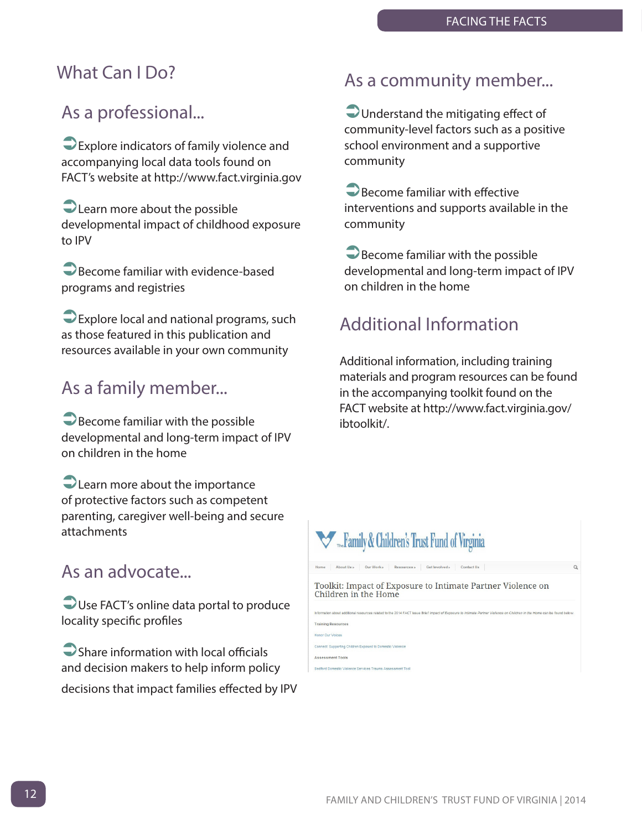#### What Can I Do?

### As a professional...

ÜExplore indicators of family violence and accompanying local data tools found on FACT's website at [http://www.fact.virginia.g](www.fact.virginia.gov)ov

 $\bigcirc$  Learn more about the possible developmental impact of childhood exposure to IPV

**D** Become familiar with evidence-based programs and registries

**D** Explore local and national programs, such as those featured in this publication and resources available in your own community

### As a family member...

 $\bigcirc$  Become familiar with the possible developmental and long-term impact of IPV on children in the home

 $\bigcirc$  Learn more about the importance of protective factors such as competent parenting, caregiver well-being and secure attachments

#### As an advocate...

Use FACT's online data portal to produce locality specific profiles

 $\bigcirc$  Share information with local officials and decision makers to help inform policy decisions that impact families effected by IPV

#### As a community member...

Understand the mitigating effect of community-level factors such as a positive school environment and a supportive community

**O** Become familiar with effective interventions and supports available in the community

 $\bigcirc$  Become familiar with the possible developmental and long-term impact of IPV on children in the home

### Additional Information

Additional information, including training materials and program resources can be found in the accompanying toolkit found on the FACT website at [http://www.fact.virginia.gov/](www.fact.virginia.gov/ibtoolkit/) [ibtoolkit/.](www.fact.virginia.gov/ibtoolkit/)

#### Family & Children's Trust Fund of Virginia Home About Us Dur Work Resources Get Involved Contact Us Toolkit: Impact of Exposure to Intimate Partner Violence on Children in the Home

**Training Resources** Honor Our Voices Connect: Supporting Children Exposed to Domestic Vi **Assessment Tools** 

Redford Domestic Violence Services Trauma Assessment To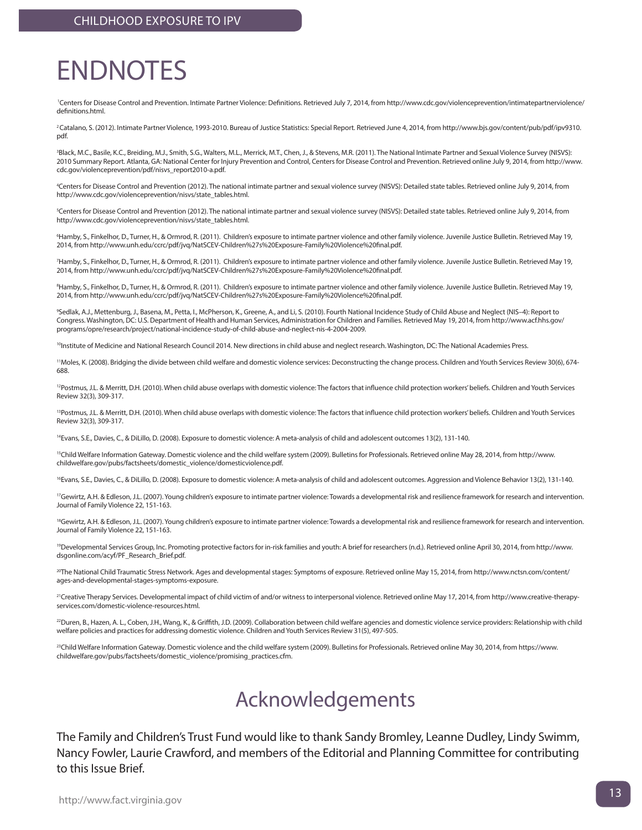# <span id="page-12-0"></span>ENDNOTES

<sup>1</sup>Centers for Disease Control and Prevention. Intimate Partner Violence: Definitions. Retrieved July 7, 2014, from http://www.cdc.gov/violenceprevention/intimatepartnerviolence/ definitions.html.

<sup>2</sup> Catalano, S. (2012). Intimate Partner Violence, 1993-2010. Bureau of Justice Statistics: Special Report. Retrieved June 4, 2014, from http://www.bjs.gov/content/pub/pdf/ipv9310. pdf.

3 Black, M.C., Basile, K.C., Breiding, M.J., Smith, S.G., Walters, M.L., Merrick, M.T., Chen, J., & Stevens, M.R. (2011). The National Intimate Partner and Sexual Violence Survey (NISVS): 2010 Summary Report. Atlanta, GA: National Center for Injury Prevention and Control, Centers for Disease Control and Prevention. Retrieved online July 9, 2014, from http://www. cdc.gov/violenceprevention/pdf/nisvs\_report2010-a.pdf.

4 Centers for Disease Control and Prevention (2012). The national intimate partner and sexual violence survey (NISVS): Detailed state tables. Retrieved online July 9, 2014, from http://www.cdc.gov/violenceprevention/nisvs/state\_tables.html.

5 Centers for Disease Control and Prevention (2012). The national intimate partner and sexual violence survey (NISVS): Detailed state tables. Retrieved online July 9, 2014, from http://www.cdc.gov/violenceprevention/nisvs/state\_tables.html.

6 Hamby, S., Finkelhor, D., Turner, H., & Ormrod, R. (2011). Children's exposure to intimate partner violence and other family violence. Juvenile Justice Bulletin. Retrieved May 19, 2014, from http://www.unh.edu/ccrc/pdf/jvq/NatSCEV-Children%27s%20Exposure-Family%20Violence%20final.pdf.

7 Hamby, S., Finkelhor, D., Turner, H., & Ormrod, R. (2011). Children's exposure to intimate partner violence and other family violence. Juvenile Justice Bulletin. Retrieved May 19, 2014, from http://www.unh.edu/ccrc/pdf/jvq/NatSCEV-Children%27s%20Exposure-Family%20Violence%20final.pdf.

8 Hamby, S., Finkelhor, D., Turner, H., & Ormrod, R. (2011). Children's exposure to intimate partner violence and other family violence. Juvenile Justice Bulletin. Retrieved May 19, 2014, from http://www.unh.edu/ccrc/pdf/jvq/NatSCEV-Children%27s%20Exposure-Family%20Violence%20final.pdf.

9 Sedlak, A.J., Mettenburg, J., Basena, M., Petta, I., McPherson, K., Greene, A., and Li, S. (2010). Fourth National Incidence Study of Child Abuse and Neglect (NIS–4): Report to Congress. Washington, DC: U.S. Department of Health and Human Services, Administration for Children and Families. Retrieved May 19, 2014, from http://www.acf.hhs.gov/ programs/opre/research/project/national-incidence-study-of-child-abuse-and-neglect-nis-4-2004-2009.

<sup>10</sup>Institute of Medicine and National Research Council 2014. New directions in child abuse and neglect research. Washington, DC: The National Academies Press.

11Moles, K. (2008). Bridging the divide between child welfare and domestic violence services: Deconstructing the change process. Children and Youth Services Review 30(6), 674- 688.

<sup>12</sup>Postmus, J.L. & Merritt, D.H. (2010). When child abuse overlaps with domestic violence: The factors that influence child protection workers' beliefs. Children and Youth Services Review 32(3), 309-317.

<sup>13</sup>Postmus, J.L. & Merritt, D.H. (2010). When child abuse overlaps with domestic violence: The factors that influence child protection workers' beliefs. Children and Youth Services Review 32(3), 309-317.

14Evans, S.E., Davies, C., & DiLillo, D. (2008). Exposure to domestic violence: A meta-analysis of child and adolescent outcomes 13(2), 131-140.

<sup>15</sup>Child Welfare Information Gateway. Domestic violence and the child welfare system (2009). Bulletins for Professionals. Retrieved online May 28, 2014, from http://www. childwelfare.gov/pubs/factsheets/domestic\_violence/domesticviolence.pdf.

<sup>16</sup>Evans, S.E., Davies, C., & DiLillo, D. (2008). Exposure to domestic violence: A meta-analysis of child and adolescent outcomes. Aggression and Violence Behavior 13(2), 131-140.

<sup>17</sup>Gewirtz, A.H. & Edleson, J.L. (2007). Young children's exposure to intimate partner violence: Towards a developmental risk and resilience framework for research and intervention. Journal of Family Violence 22, 151-163.

<sup>18</sup>Gewirtz, A.H. & Edleson, J.L. (2007). Young children's exposure to intimate partner violence: Towards a developmental risk and resilience framework for research and intervention. Journal of Family Violence 22, 151-163.

19Developmental Services Group, Inc. Promoting protective factors for in-risk families and youth: A brief for researchers (n.d.). Retrieved online April 30, 2014, from http://www. dsgonline.com/acyf/PF\_Research\_Brief.pdf.

<sup>20</sup>The National Child Traumatic Stress Network. Ages and developmental stages: Symptoms of exposure. Retrieved online May 15, 2014, from http://www.nctsn.com/content/ ages-and-developmental-stages-symptoms-exposure.

<sup>21</sup>Creative Therapy Services. Developmental impact of child victim of and/or witness to interpersonal violence. Retrieved online May 17, 2014, from http://www.creative-therapyservices.com/domestic-violence-resources.html.

<sup>22</sup>Duren, B., Hazen, A. L., Coben, J.H., Wang, K., & Griffith, J.D. (2009). Collaboration between child welfare agencies and domestic violence service providers: Relationship with child welfare policies and practices for addressing domestic violence. Children and Youth Services Review 31(5), 497-505.

<sup>23</sup>Child Welfare Information Gateway. Domestic violence and the child welfare system (2009). Bulletins for Professionals. Retrieved online May 30, 2014, from https://www. childwelfare.gov/pubs/factsheets/domestic\_violence/promising\_practices.cfm.

## Acknowledgements

The Family and Children's Trust Fund would like to thank Sandy Bromley, Leanne Dudley, Lindy Swimm, Nancy Fowler, Laurie Crawford, and members of the Editorial and Planning Committee for contributing to this Issue Brief.